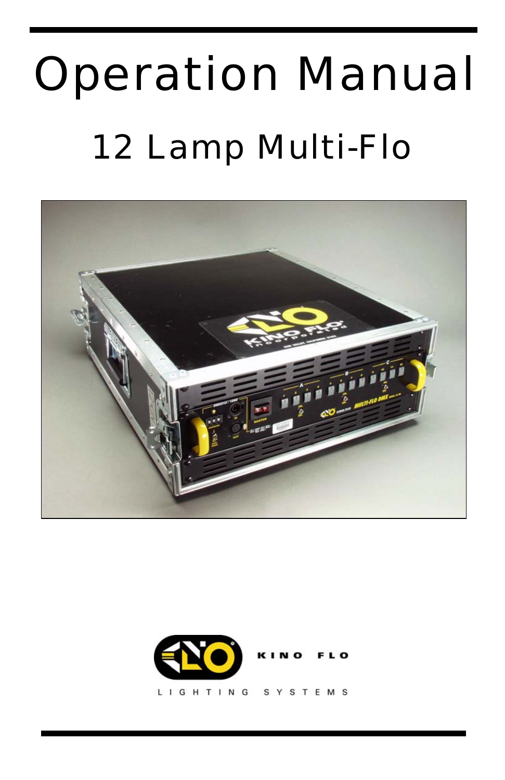# Operation Manual 12 Lamp Multi-Flo





**IGHTING** T E M S Ľ S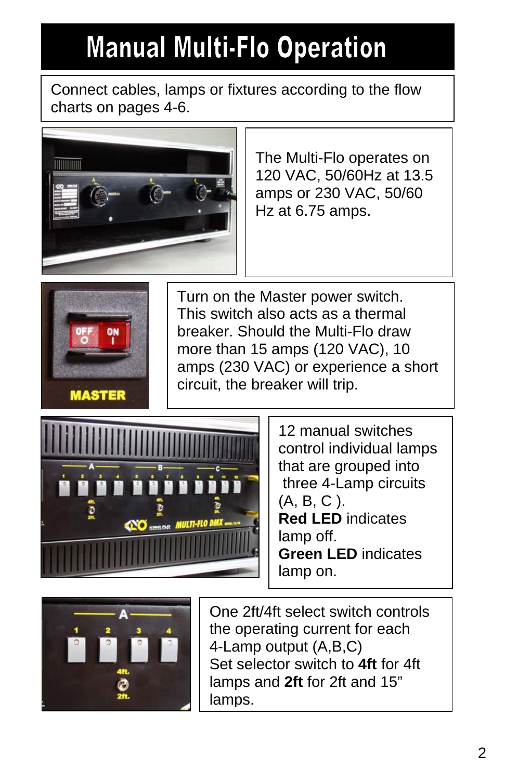### **Manual Multi-Flo Operation**

Connect cables, lamps or fixtures according to the flow charts on pages 4-6.



The Multi-Flo operates on 120 VAC, 50/60Hz at 13.5 amps or 230 VAC, 50/60 Hz at 6.75 amps.



Turn on the Master power switch. This switch also acts as a thermal breaker. Should the Multi-Flo draw more than 15 amps (120 VAC), 10 amps (230 VAC) or experience a short circuit, the breaker will trip.



12 manual switches control individual lamps that are grouped into three 4-Lamp circuits (A, B, C ). **Red LED** indicates lamp off. **Green LED** indicates lamp on.



One 2ft/4ft select switch controls the operating current for each 4-Lamp output (A,B,C) Set selector switch to **4ft** for 4ft lamps and **2ft** for 2ft and 15" lamps.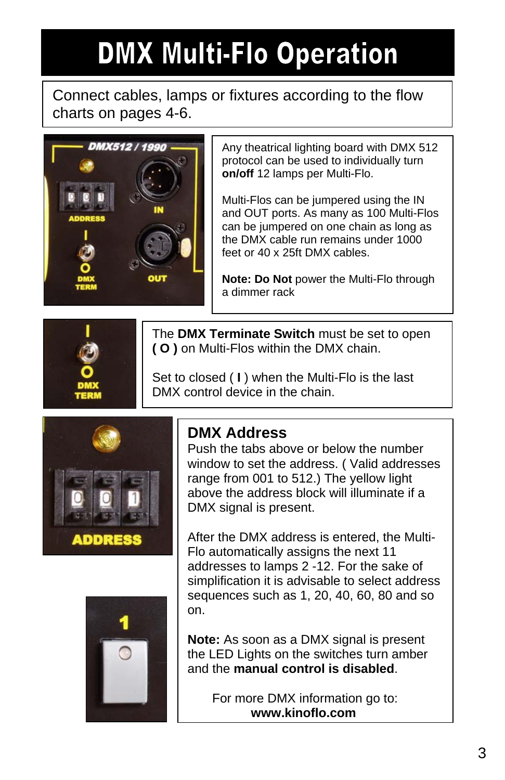### **DMX Multi-Flo Operation**

#### Connect cables, lamps or fixtures according to the flow charts on pages 4-6.



Any theatrical lighting board with DMX 512 protocol can be used to individually turn **on/off** 12 lamps per Multi-Flo.

Multi-Flos can be jumpered using the IN and OUT ports. As many as 100 Multi-Flos can be jumpered on one chain as long as the DMX cable run remains under 1000 feet or 40 x 25ft DMX cables.

**Note: Do Not** power the Multi-Flo through a dimmer rack



The **DMX Terminate Switch** must be set to open **( O )** on Multi-Flos within the DMX chain.

Set to closed ( **I** ) when the Multi-Flo is the last DMX control device in the chain.





**DMX Address**<br>Push the tabs above or below the number window to set the address. ( Valid addresses range from 001 to 512.) The yellow light above the address block will illuminate if a DMX signal is present.

After the DMX address is entered, the Multi-Flo automatically assigns the next 11 addresses to lamps 2 -12. For the sake of simplification it is advisable to select address sequences such as 1, 20, 40, 60, 80 and so on.

**Note:** As soon as a DMX signal is present the LED Lights on the switches turn amber and the **manual control is disabled**.

> For more DMX information go to: **www.kinoflo.com**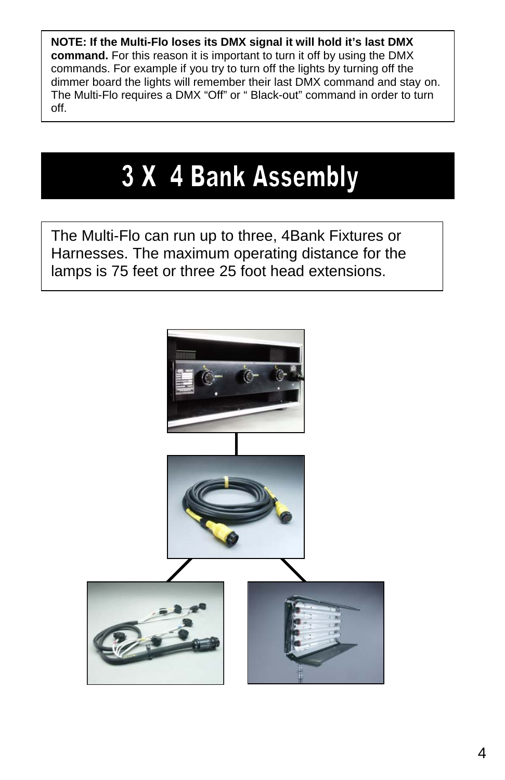**NOTE: If the Multi-Flo loses its DMX signal it will hold it's last DMX command.** For this reason it is important to turn it off by using the DMX commands. For example if you try to turn off the lights by turning off the dimmer board the lights will remember their last DMX command and stay on. The Multi-Flo requires a DMX "Off" or " Black-out" command in order to turn off.

### 3 X 4 Bank Assembly

The Multi-Flo can run up to three, 4Bank Fixtures or Harnesses. The maximum operating distance for the lamps is 75 feet or three 25 foot head extensions.

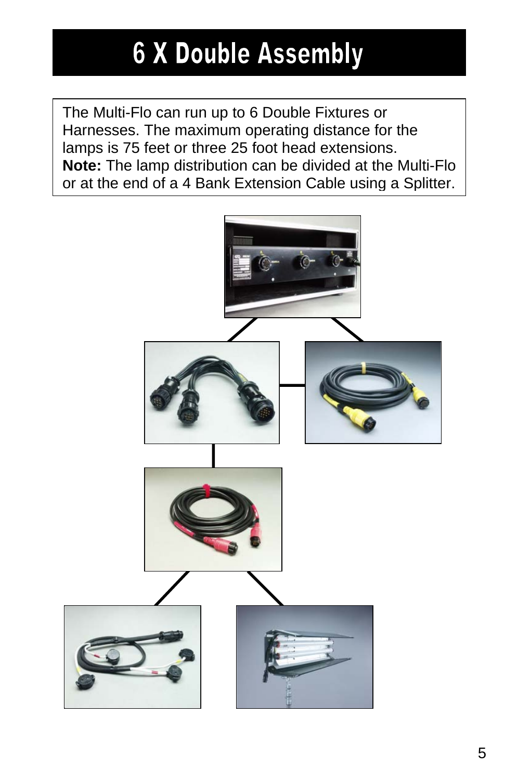### **6 X Double Assembly**

The Multi-Flo can run up to 6 Double Fixtures or Harnesses. The maximum operating distance for the lamps is 75 feet or three 25 foot head extensions. **Note:** The lamp distribution can be divided at the Multi-Flo or at the end of a 4 Bank Extension Cable using a Splitter.

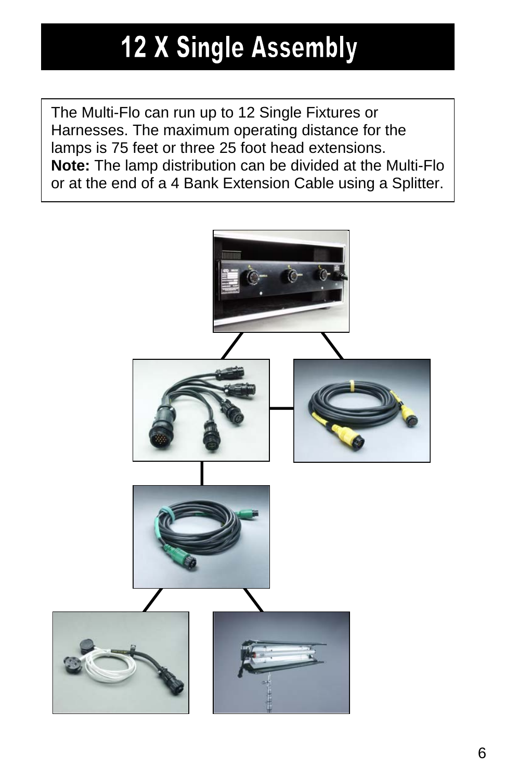### **12 X Single Assembly**

The Multi-Flo can run up to 12 Single Fixtures or Harnesses. The maximum operating distance for the lamps is 75 feet or three 25 foot head extensions. **Note:** The lamp distribution can be divided at the Multi-Flo or at the end of a 4 Bank Extension Cable using a Splitter.

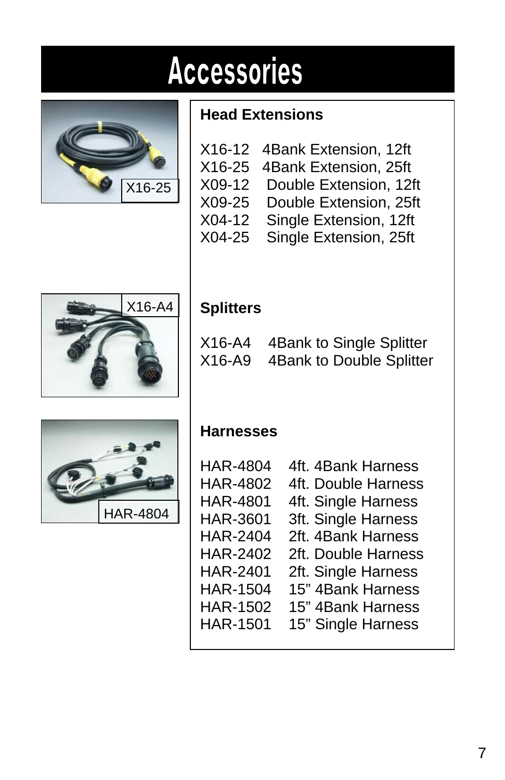## **Accessories**



#### **Head Extensions**

|        | X16-12 4Bank Extension, 12ft |
|--------|------------------------------|
|        | X16-25 4Bank Extension, 25ft |
| X09-12 | Double Extension, 12ft       |
| X09-25 | Double Extension, 25ft       |
| X04-12 | Single Extension, 12ft       |
| X04-25 | Single Extension, 25ft       |



### **Splitters**

| $X16-A4$ | 4Bank to Single Splitter |
|----------|--------------------------|
| $X16-A9$ | 4Bank to Double Splitter |



#### **Harnesses**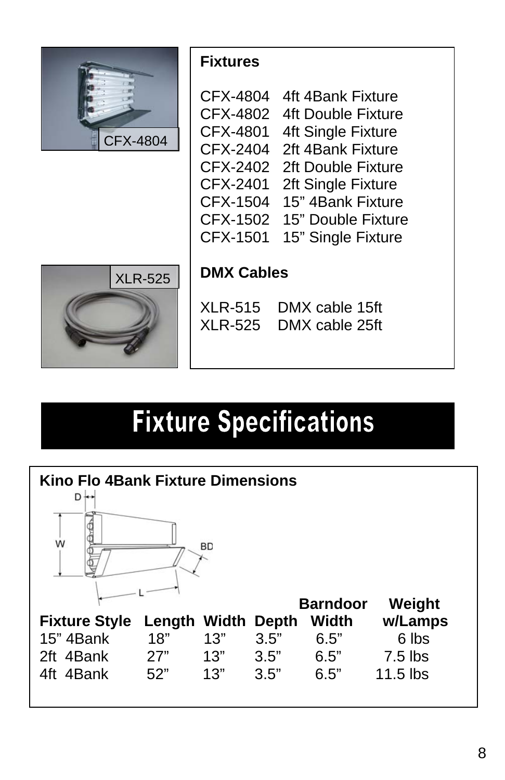

#### **Fixtures**

| CFX-4804        | 4ft 4Bank Fixture         |
|-----------------|---------------------------|
| CFX-4802        | <b>4ft Double Fixture</b> |
| CFX-4801        | 4ft Single Fixture        |
| CFX-2404        | 2ft 4Bank Fixture         |
| CFX-2402        | 2ft Double Fixture        |
| CFX-2401        | 2ft Single Fixture        |
| CFX-1504        | 15" 4Bank Fixture         |
| <b>CFX-1502</b> | 15" Double Fixture        |
| CFX-1501        | 15" Single Fixture        |
|                 |                           |



### **DMX Cables**

| <b>XLR-515</b> | DMX cable 15ft |
|----------------|----------------|
| <b>XLR-525</b> | DMX cable 25ft |

### **Fixture Specifications**

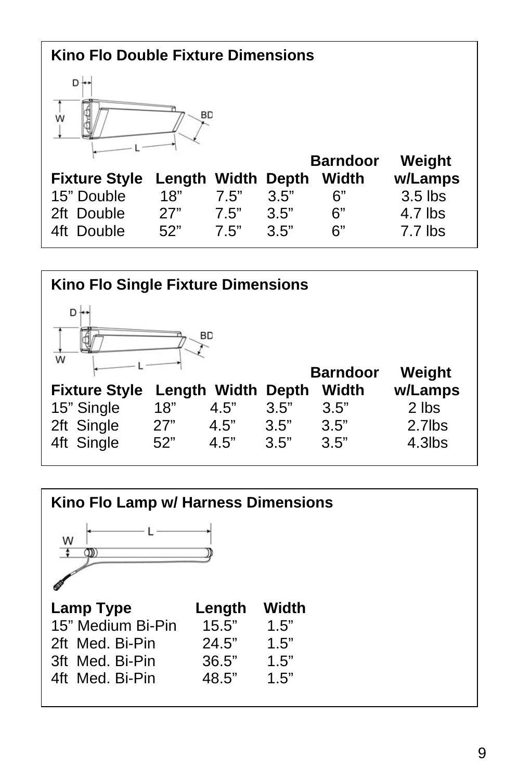